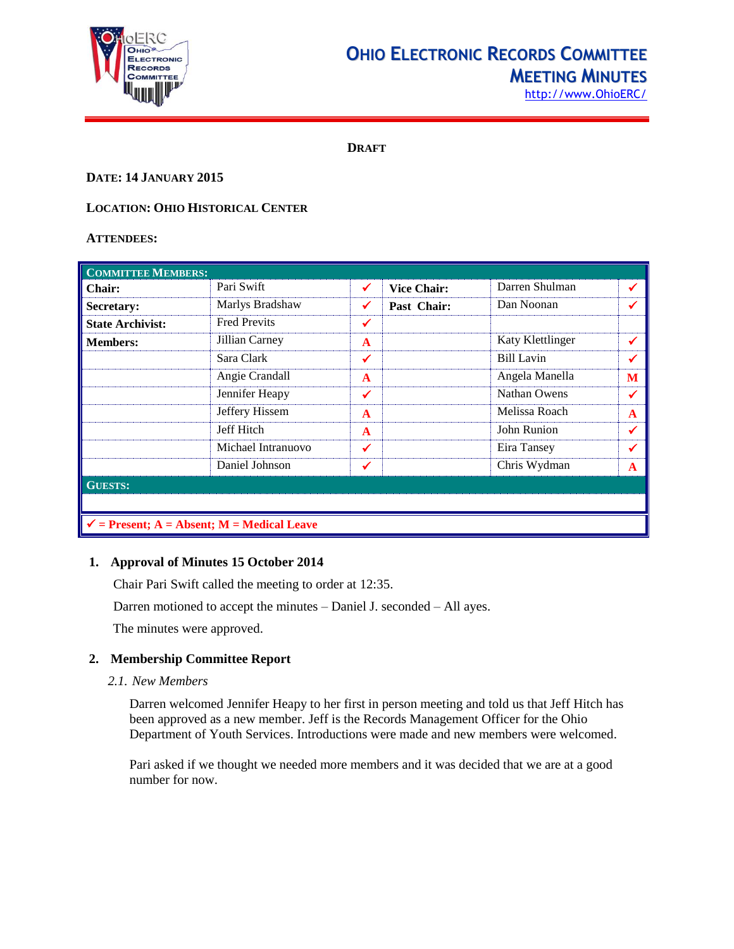

# **OHIO ELECTRONIC RECORDS COMMITTEE MEETING MINUTES**

**DRAFT**

#### **DATE: 14 JANUARY 2015**

# **LOCATION: OHIO HISTORICAL CENTER**

#### **ATTENDEES:**

| <b>COMMITTEE MEMBERS:</b>                             |                     |              |                    |                  |   |  |
|-------------------------------------------------------|---------------------|--------------|--------------------|------------------|---|--|
| <b>Chair:</b>                                         | Pari Swift          | ✔            | <b>Vice Chair:</b> | Darren Shulman   | ✔ |  |
| Secretary:                                            | Marlys Bradshaw     | ✔            | Past Chair:        | Dan Noonan       | ✔ |  |
| <b>State Archivist:</b>                               | <b>Fred Previts</b> | ✔            |                    |                  |   |  |
| <b>Members:</b>                                       | Jillian Carney      | $\mathbf{A}$ |                    | Katy Klettlinger | ✔ |  |
|                                                       | Sara Clark          | ✓            |                    | Bill Lavin       | ✔ |  |
|                                                       | Angie Crandall      | $\mathbf{A}$ |                    | Angela Manella   | M |  |
|                                                       | Jennifer Heapy      | ✔            |                    | Nathan Owens     | ✔ |  |
|                                                       | Jeffery Hissem      | $\mathbf{A}$ |                    | Melissa Roach    | A |  |
|                                                       | Jeff Hitch          | $\mathbf{A}$ |                    | John Runion      | ✔ |  |
|                                                       | Michael Intranuovo  | ✔            |                    | Eira Tansey      | ✔ |  |
|                                                       | Daniel Johnson      | ✓            |                    | Chris Wydman     | A |  |
| <b>GUESTS:</b>                                        |                     |              |                    |                  |   |  |
|                                                       |                     |              |                    |                  |   |  |
| $\checkmark$ = Present; A = Absent; M = Medical Leave |                     |              |                    |                  |   |  |

#### **1. Approval of Minutes 15 October 2014**

Chair Pari Swift called the meeting to order at 12:35. Darren motioned to accept the minutes – Daniel J. seconded – All ayes. The minutes were approved.

# **2. Membership Committee Report**

*2.1. New Members*

Darren welcomed Jennifer Heapy to her first in person meeting and told us that Jeff Hitch has been approved as a new member. Jeff is the Records Management Officer for the Ohio Department of Youth Services. Introductions were made and new members were welcomed.

Pari asked if we thought we needed more members and it was decided that we are at a good number for now.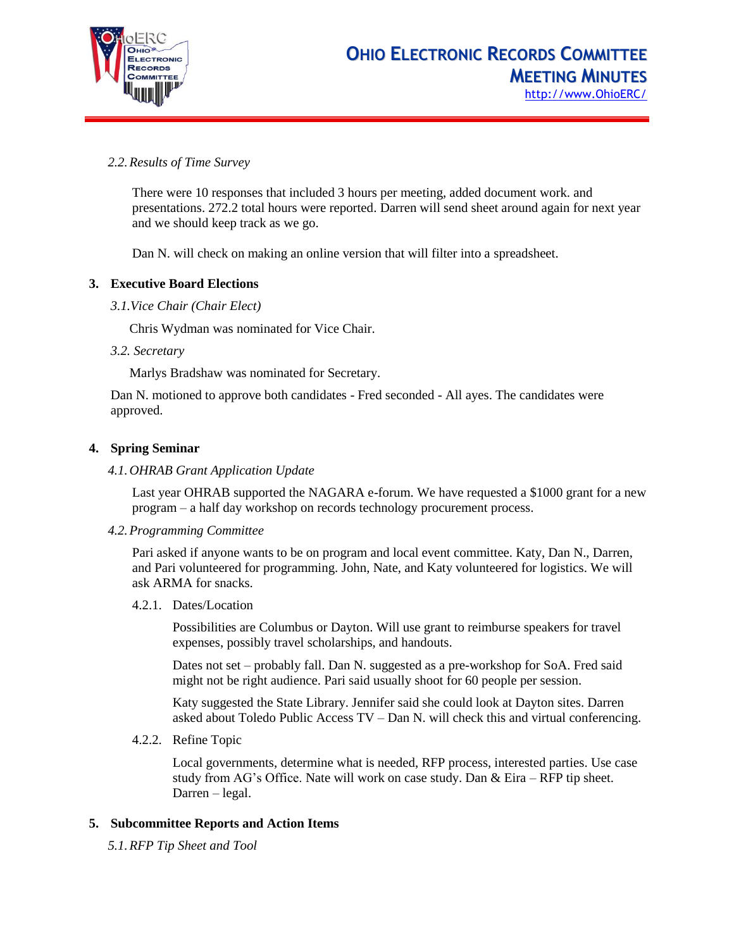

# *2.2.Results of Time Survey*

There were 10 responses that included 3 hours per meeting, added document work. and presentations. 272.2 total hours were reported. Darren will send sheet around again for next year and we should keep track as we go.

Dan N. will check on making an online version that will filter into a spreadsheet.

# **3. Executive Board Elections**

*3.1.Vice Chair (Chair Elect)*

Chris Wydman was nominated for Vice Chair.

*3.2. Secretary*

Marlys Bradshaw was nominated for Secretary.

Dan N. motioned to approve both candidates - Fred seconded - All ayes. The candidates were approved.

# **4. Spring Seminar**

#### *4.1.OHRAB Grant Application Update*

Last year OHRAB supported the NAGARA e-forum. We have requested a \$1000 grant for a new program – a half day workshop on records technology procurement process.

*4.2.Programming Committee*

Pari asked if anyone wants to be on program and local event committee. Katy, Dan N., Darren, and Pari volunteered for programming. John, Nate, and Katy volunteered for logistics. We will ask ARMA for snacks.

4.2.1. Dates/Location

Possibilities are Columbus or Dayton. Will use grant to reimburse speakers for travel expenses, possibly travel scholarships, and handouts.

Dates not set – probably fall. Dan N. suggested as a pre-workshop for SoA. Fred said might not be right audience. Pari said usually shoot for 60 people per session.

Katy suggested the State Library. Jennifer said she could look at Dayton sites. Darren asked about Toledo Public Access TV – Dan N. will check this and virtual conferencing.

4.2.2. Refine Topic

Local governments, determine what is needed, RFP process, interested parties. Use case study from AG's Office. Nate will work on case study. Dan & Eira – RFP tip sheet. Darren – legal.

#### **5. Subcommittee Reports and Action Items**

*5.1.RFP Tip Sheet and Tool*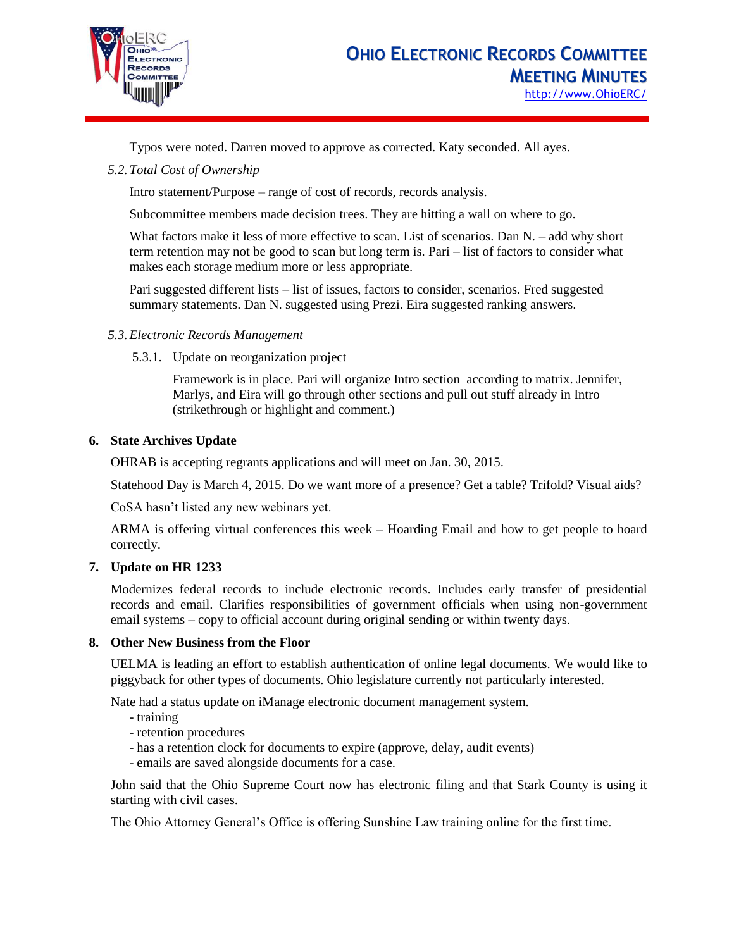

Typos were noted. Darren moved to approve as corrected. Katy seconded. All ayes.

*5.2.Total Cost of Ownership*

Intro statement/Purpose – range of cost of records, records analysis.

Subcommittee members made decision trees. They are hitting a wall on where to go.

What factors make it less of more effective to scan. List of scenarios. Dan N. – add why short term retention may not be good to scan but long term is. Pari – list of factors to consider what makes each storage medium more or less appropriate.

Pari suggested different lists – list of issues, factors to consider, scenarios. Fred suggested summary statements. Dan N. suggested using Prezi. Eira suggested ranking answers.

# *5.3.Electronic Records Management*

5.3.1. Update on reorganization project

Framework is in place. Pari will organize Intro section according to matrix. Jennifer, Marlys, and Eira will go through other sections and pull out stuff already in Intro (strikethrough or highlight and comment.)

# **6. State Archives Update**

OHRAB is accepting regrants applications and will meet on Jan. 30, 2015.

Statehood Day is March 4, 2015. Do we want more of a presence? Get a table? Trifold? Visual aids?

CoSA hasn't listed any new webinars yet.

ARMA is offering virtual conferences this week – Hoarding Email and how to get people to hoard correctly.

# **7. Update on HR 1233**

Modernizes federal records to include electronic records. Includes early transfer of presidential records and email. Clarifies responsibilities of government officials when using non-government email systems – copy to official account during original sending or within twenty days.

#### **8. Other New Business from the Floor**

UELMA is leading an effort to establish authentication of online legal documents. We would like to piggyback for other types of documents. Ohio legislature currently not particularly interested.

Nate had a status update on iManage electronic document management system.

- training
- retention procedures
- has a retention clock for documents to expire (approve, delay, audit events)
- emails are saved alongside documents for a case.

John said that the Ohio Supreme Court now has electronic filing and that Stark County is using it starting with civil cases.

The Ohio Attorney General's Office is offering Sunshine Law training online for the first time.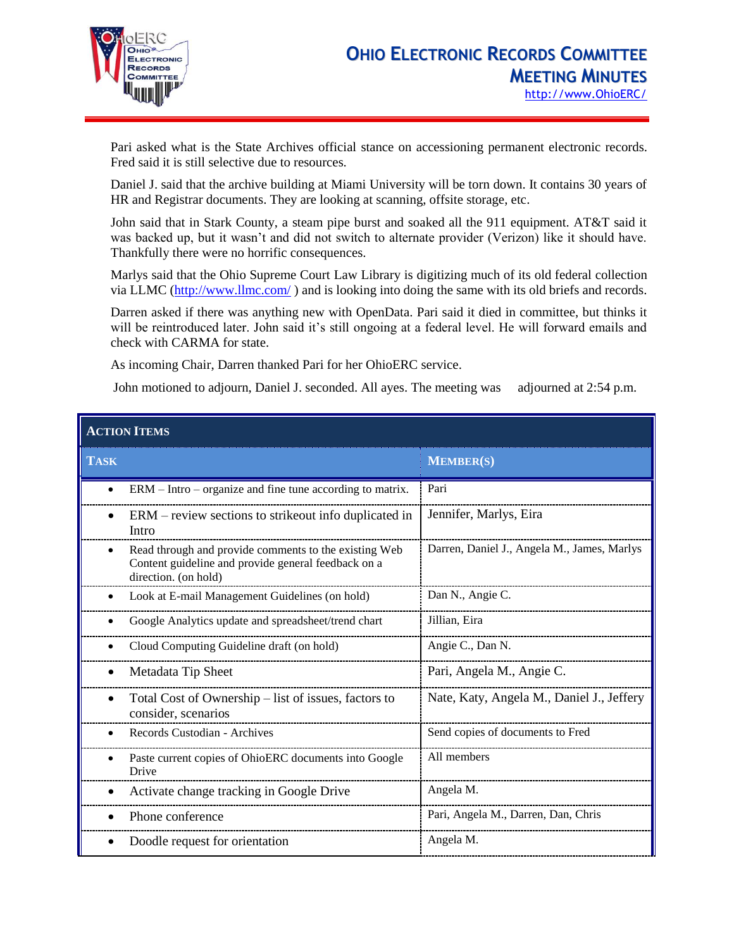

Pari asked what is the State Archives official stance on accessioning permanent electronic records. Fred said it is still selective due to resources.

Daniel J. said that the archive building at Miami University will be torn down. It contains 30 years of HR and Registrar documents. They are looking at scanning, offsite storage, etc.

John said that in Stark County, a steam pipe burst and soaked all the 911 equipment. AT&T said it was backed up, but it wasn't and did not switch to alternate provider (Verizon) like it should have. Thankfully there were no horrific consequences.

Marlys said that the Ohio Supreme Court Law Library is digitizing much of its old federal collection via LLMC [\(http://www.llmc.com/](http://www.llmc.com/)) and is looking into doing the same with its old briefs and records.

Darren asked if there was anything new with OpenData. Pari said it died in committee, but thinks it will be reintroduced later. John said it's still ongoing at a federal level. He will forward emails and check with CARMA for state.

As incoming Chair, Darren thanked Pari for her OhioERC service.

John motioned to adjourn, Daniel J. seconded. All ayes. The meeting was adjourned at 2:54 p.m.

| <b>ACTION ITEMS</b> |                                                                                                                                      |                                             |  |  |
|---------------------|--------------------------------------------------------------------------------------------------------------------------------------|---------------------------------------------|--|--|
| <b>TASK</b>         |                                                                                                                                      | <b>MEMBER(S)</b>                            |  |  |
|                     | $ERM - Intro - organize$ and fine tune according to matrix.                                                                          | Pari                                        |  |  |
| $\bullet$           | ERM – review sections to strike out info duplicated in<br>Intro                                                                      | Jennifer, Marlys, Eira                      |  |  |
|                     | Read through and provide comments to the existing Web<br>Content guideline and provide general feedback on a<br>direction. (on hold) | Darren, Daniel J., Angela M., James, Marlys |  |  |
|                     | Look at E-mail Management Guidelines (on hold)                                                                                       | Dan N., Angie C.                            |  |  |
|                     | Google Analytics update and spreadsheet/trend chart                                                                                  | Jillian, Eira                               |  |  |
|                     | Cloud Computing Guideline draft (on hold)                                                                                            | Angie C., Dan N.                            |  |  |
|                     | Metadata Tip Sheet                                                                                                                   | Pari, Angela M., Angie C.                   |  |  |
|                     | Total Cost of Ownership – list of issues, factors to<br>consider, scenarios                                                          | Nate, Katy, Angela M., Daniel J., Jeffery   |  |  |
|                     | Records Custodian - Archives                                                                                                         | Send copies of documents to Fred            |  |  |
|                     | Paste current copies of OhioERC documents into Google<br>Drive                                                                       | All members                                 |  |  |
|                     | Activate change tracking in Google Drive                                                                                             | Angela M.                                   |  |  |
|                     | Phone conference                                                                                                                     | Pari, Angela M., Darren, Dan, Chris         |  |  |
|                     | Doodle request for orientation                                                                                                       | Angela M.                                   |  |  |